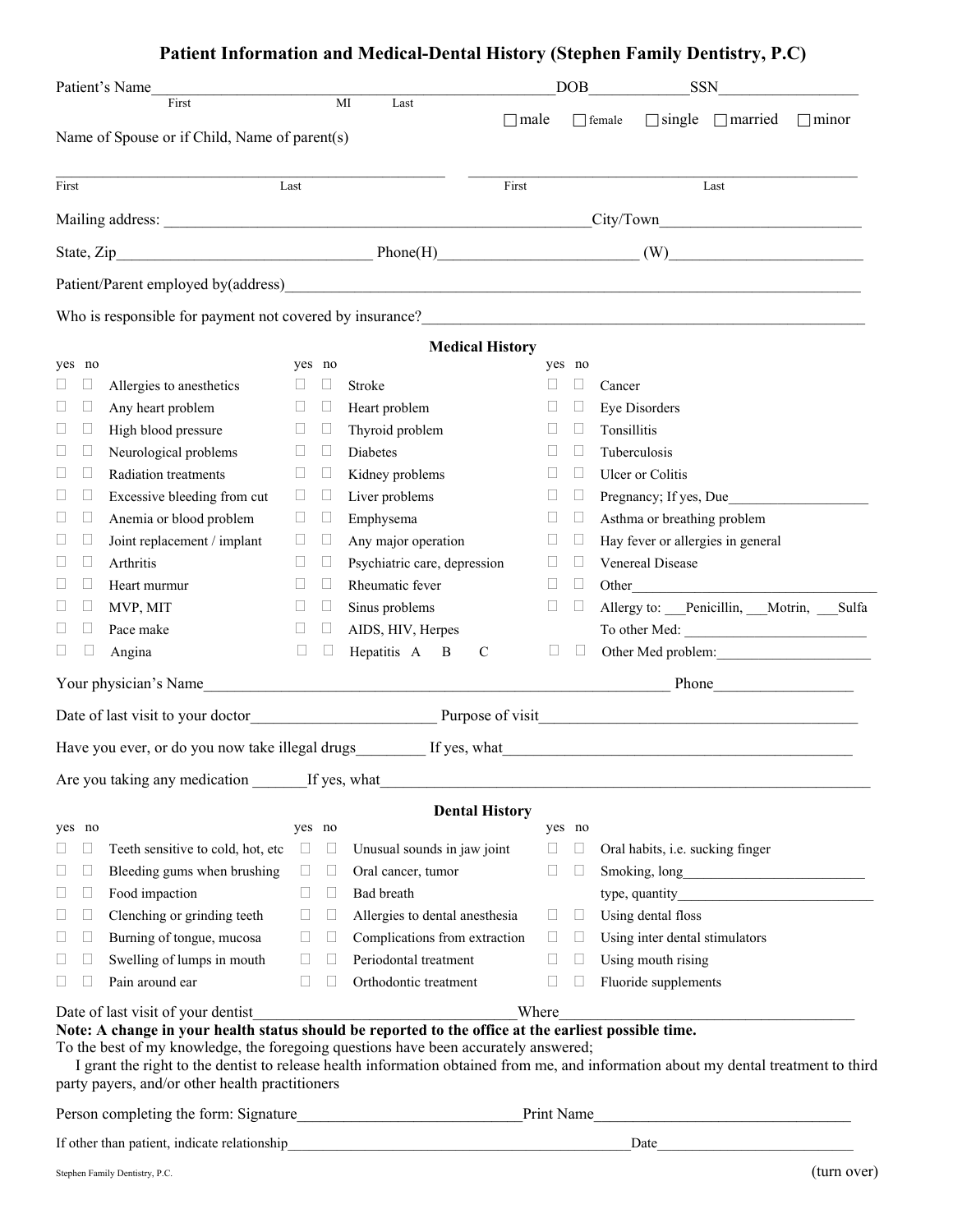## **Patient Information and Medical-Dental History (Stephen Family Dentistry, P.C)**

|              |              | Patient's Name<br>First                         |              |              | MI<br>Last                                                                                                                                                                                  |        |              | DOB <sub>1</sub><br><b>SSN</b>                                                                                                                                                                                                        |
|--------------|--------------|-------------------------------------------------|--------------|--------------|---------------------------------------------------------------------------------------------------------------------------------------------------------------------------------------------|--------|--------------|---------------------------------------------------------------------------------------------------------------------------------------------------------------------------------------------------------------------------------------|
|              |              |                                                 |              |              | $\Box$ male                                                                                                                                                                                 |        |              | $\Box$ single $\Box$ married<br>$\Box$ female<br>$\Box$ minor                                                                                                                                                                         |
|              |              | Name of Spouse or if Child, Name of parent(s)   |              |              |                                                                                                                                                                                             |        |              |                                                                                                                                                                                                                                       |
| First        |              |                                                 | Last         |              | First                                                                                                                                                                                       |        |              | Last                                                                                                                                                                                                                                  |
|              |              |                                                 |              |              |                                                                                                                                                                                             |        |              |                                                                                                                                                                                                                                       |
|              |              |                                                 |              |              |                                                                                                                                                                                             |        |              |                                                                                                                                                                                                                                       |
|              |              |                                                 |              |              |                                                                                                                                                                                             |        |              |                                                                                                                                                                                                                                       |
|              |              |                                                 |              |              |                                                                                                                                                                                             |        |              | Who is responsible for payment not covered by insurance?<br><u>Letting</u> the contract of the contract of the contract of the contract of the contract of the contract of the contract of the contract of the contract of the contra |
|              |              |                                                 |              |              | <b>Medical History</b>                                                                                                                                                                      |        |              |                                                                                                                                                                                                                                       |
|              | yes no       |                                                 | yes no       |              |                                                                                                                                                                                             |        | yes no       |                                                                                                                                                                                                                                       |
|              | u            | Allergies to anesthetics                        | u            |              | <b>Stroke</b>                                                                                                                                                                               |        |              | Cancer                                                                                                                                                                                                                                |
| Н            |              | Any heart problem                               | u            | $\Box$       | Heart problem                                                                                                                                                                               |        |              | Eye Disorders                                                                                                                                                                                                                         |
| Ш            | П            | High blood pressure                             | $\Box$       | $\Box$       | Thyroid problem                                                                                                                                                                             | Н      | П            | Tonsillitis                                                                                                                                                                                                                           |
|              | $\Box$       | Neurological problems                           | u            | Ц            | <b>Diabetes</b>                                                                                                                                                                             | Н      | Ш            | Tuberculosis                                                                                                                                                                                                                          |
|              |              | Radiation treatments                            | u            |              | Kidney problems                                                                                                                                                                             |        | $\mathbf{L}$ | Ulcer or Colitis                                                                                                                                                                                                                      |
| Ц            |              | Excessive bleeding from cut                     | $\Box$       | $\Box$       | Liver problems                                                                                                                                                                              | П      | $\Box$       | Pregnancy; If yes, Due                                                                                                                                                                                                                |
| u            | $\Box$       | Anemia or blood problem                         | $\Box$       | $\Box$       | Emphysema                                                                                                                                                                                   | $\Box$ | $\Box$       | Asthma or breathing problem                                                                                                                                                                                                           |
| $\mathbf{L}$ |              | Joint replacement / implant                     | u            | П            | Any major operation                                                                                                                                                                         | П      | Ш            | Hay fever or allergies in general                                                                                                                                                                                                     |
|              |              | Arthritis                                       | $\Box$       | $\Box$       | Psychiatric care, depression                                                                                                                                                                | ⊔      | Ш            | Venereal Disease                                                                                                                                                                                                                      |
|              |              | Heart murmur                                    | $\mathbf{L}$ | $\mathbf{L}$ | Rheumatic fever                                                                                                                                                                             | П      | $\Box$       | Other                                                                                                                                                                                                                                 |
|              | п            | MVP, MIT                                        | Ш            | □            | Sinus problems                                                                                                                                                                              | $\Box$ | $\Box$       | Allergy to: Penicillin, Motrin, Sulfa                                                                                                                                                                                                 |
|              | Ш            | Pace make                                       | $\mathbf{L}$ | Ш            | AIDS, HIV, Herpes                                                                                                                                                                           |        |              | To other Med:                                                                                                                                                                                                                         |
| ப            |              | Angina                                          | П            | $\Box$       | Hepatitis A B<br>$\mathbf C$                                                                                                                                                                | $\Box$ | $\Box$       | Other Med problem:                                                                                                                                                                                                                    |
|              |              |                                                 |              |              |                                                                                                                                                                                             |        |              |                                                                                                                                                                                                                                       |
|              |              |                                                 |              |              |                                                                                                                                                                                             |        |              | Date of last visit to your doctor Purpose of visit                                                                                                                                                                                    |
|              |              |                                                 |              |              |                                                                                                                                                                                             |        |              |                                                                                                                                                                                                                                       |
|              |              | Are you taking any medication If yes, what      |              |              |                                                                                                                                                                                             |        |              |                                                                                                                                                                                                                                       |
|              |              |                                                 |              |              | <b>Dental History</b>                                                                                                                                                                       |        |              |                                                                                                                                                                                                                                       |
|              | yes no       |                                                 | yes no       |              |                                                                                                                                                                                             |        | yes no       |                                                                                                                                                                                                                                       |
| $\Box$       | $\Box$       | Teeth sensitive to cold, hot, etc               | $\Box$       | $\Box$       | Unusual sounds in jaw joint                                                                                                                                                                 | $\Box$ | $\Box$       | Oral habits, i.e. sucking finger                                                                                                                                                                                                      |
| Ш            | Ш            | Bleeding gums when brushing                     | $\Box$       | $\Box$       | Oral cancer, tumor                                                                                                                                                                          | $\Box$ | Ш            |                                                                                                                                                                                                                                       |
| $\Box$       | $\Box$       | Food impaction                                  | $\Box$       | $\Box$       | Bad breath                                                                                                                                                                                  |        |              | type, quantity <b>example 10</b>                                                                                                                                                                                                      |
| □            | $\Box$       | Clenching or grinding teeth                     | $\Box$       | $\Box$       | Allergies to dental anesthesia                                                                                                                                                              | $\Box$ | $\Box$       | Using dental floss                                                                                                                                                                                                                    |
| Ш            | Ш            | Burning of tongue, mucosa                       | Ш            | $\Box$       | Complications from extraction                                                                                                                                                               | $\Box$ | $\Box$       | Using inter dental stimulators                                                                                                                                                                                                        |
| Ш            | $\mathbf{L}$ | Swelling of lumps in mouth                      | $\Box$       |              | Periodontal treatment                                                                                                                                                                       | Ш      | $\mathbf{L}$ | Using mouth rising                                                                                                                                                                                                                    |
| $\Box$       |              | Pain around ear                                 | $\Box$       |              | Orthodontic treatment                                                                                                                                                                       | $\Box$ |              | Fluoride supplements                                                                                                                                                                                                                  |
|              |              | Date of last visit of your dentist              |              |              |                                                                                                                                                                                             | Where  |              |                                                                                                                                                                                                                                       |
|              |              |                                                 |              |              | Note: A change in your health status should be reported to the office at the earliest possible time.<br>To the best of my knowledge, the foregoing questions have been accurately answered; |        |              |                                                                                                                                                                                                                                       |
|              |              | party payers, and/or other health practitioners |              |              |                                                                                                                                                                                             |        |              | I grant the right to the dentist to release health information obtained from me, and information about my dental treatment to third                                                                                                   |
|              |              |                                                 |              |              |                                                                                                                                                                                             |        |              |                                                                                                                                                                                                                                       |
|              |              | If other than patient, indicate relationship    |              |              |                                                                                                                                                                                             |        |              | Date and the state of the state of the state of the state of the state of the state of the state of the state of the state of the state of the state of the state of the state of the state of the state of the state of the s        |
|              |              |                                                 |              |              |                                                                                                                                                                                             |        |              |                                                                                                                                                                                                                                       |